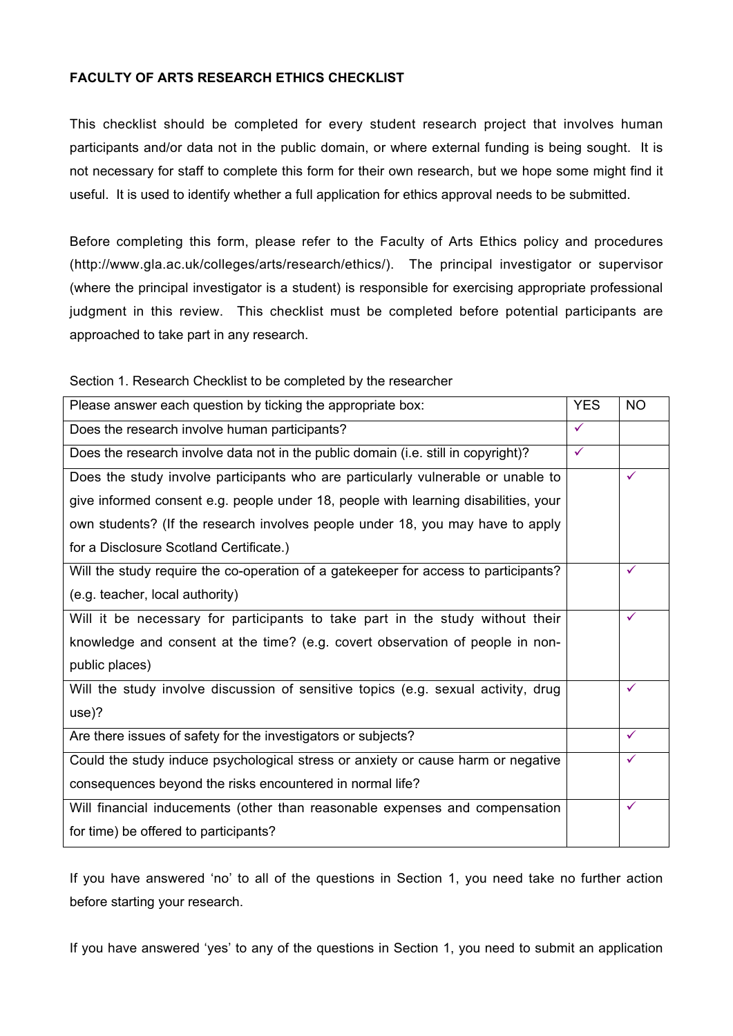# **FACULTY OF ARTS RESEARCH ETHICS CHECKLIST**

This checklist should be completed for every student research project that involves human participants and/or data not in the public domain, or where external funding is being sought. It is not necessary for staff to complete this form for their own research, but we hope some might find it useful. It is used to identify whether a full application for ethics approval needs to be submitted.

Before completing this form, please refer to the Faculty of Arts Ethics policy and procedures (http://www.gla.ac.uk/colleges/arts/research/ethics/). The principal investigator or supervisor (where the principal investigator is a student) is responsible for exercising appropriate professional judgment in this review. This checklist must be completed before potential participants are approached to take part in any research.

| Section 1. Research Checklist to be completed by the researcher |  |  |  |
|-----------------------------------------------------------------|--|--|--|
|                                                                 |  |  |  |

| Please answer each question by ticking the appropriate box:                         | <b>YES</b>   | <b>NO</b>    |
|-------------------------------------------------------------------------------------|--------------|--------------|
| Does the research involve human participants?                                       | $\checkmark$ |              |
| Does the research involve data not in the public domain (i.e. still in copyright)?  | $\checkmark$ |              |
| Does the study involve participants who are particularly vulnerable or unable to    |              | $\checkmark$ |
| give informed consent e.g. people under 18, people with learning disabilities, your |              |              |
| own students? (If the research involves people under 18, you may have to apply      |              |              |
| for a Disclosure Scotland Certificate.)                                             |              |              |
| Will the study require the co-operation of a gatekeeper for access to participants? |              | ✓            |
| (e.g. teacher, local authority)                                                     |              |              |
| Will it be necessary for participants to take part in the study without their       |              | $\checkmark$ |
| knowledge and consent at the time? (e.g. covert observation of people in non-       |              |              |
| public places)                                                                      |              |              |
| Will the study involve discussion of sensitive topics (e.g. sexual activity, drug   |              | $\checkmark$ |
| use)?                                                                               |              |              |
| Are there issues of safety for the investigators or subjects?                       |              | $\checkmark$ |
| Could the study induce psychological stress or anxiety or cause harm or negative    |              | $\checkmark$ |
| consequences beyond the risks encountered in normal life?                           |              |              |
| Will financial inducements (other than reasonable expenses and compensation         |              | ✓            |
| for time) be offered to participants?                                               |              |              |

If you have answered 'no' to all of the questions in Section 1, you need take no further action before starting your research.

If you have answered 'yes' to any of the questions in Section 1, you need to submit an application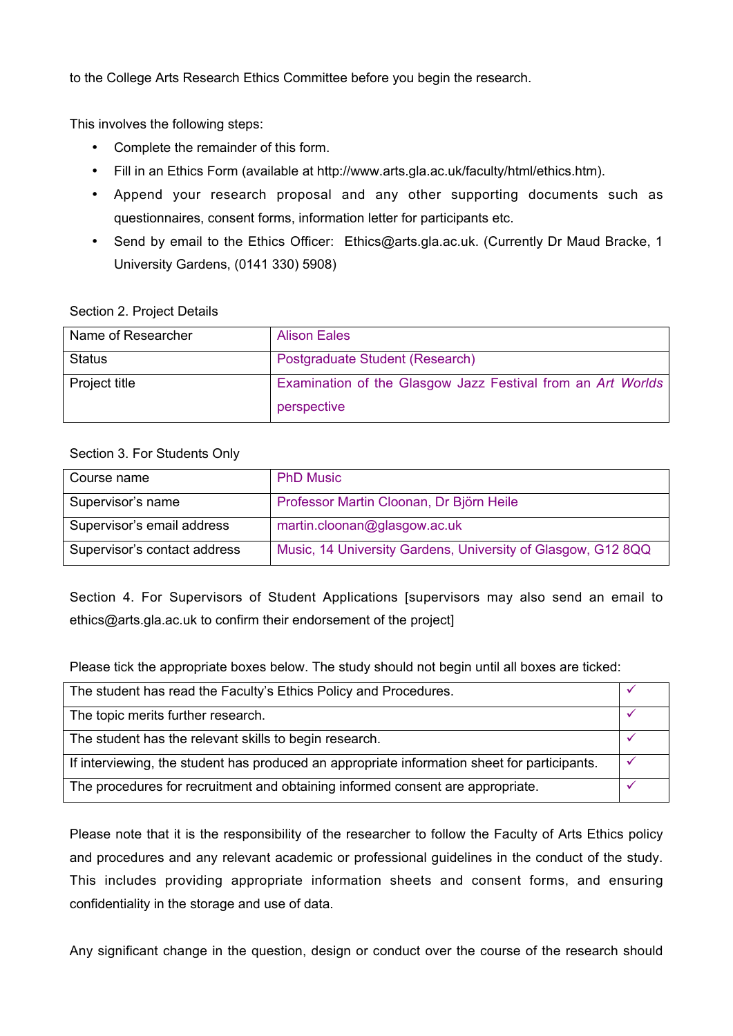to the College Arts Research Ethics Committee before you begin the research.

This involves the following steps:

- Complete the remainder of this form.
- Fill in an Ethics Form (available at http://www.arts.gla.ac.uk/faculty/html/ethics.htm).
- Append your research proposal and any other supporting documents such as questionnaires, consent forms, information letter for participants etc.
- Send by email to the Ethics Officer: Ethics@arts.gla.ac.uk. (Currently Dr Maud Bracke, 1 University Gardens, (0141 330) 5908)

## Section 2. Project Details

| Name of Researcher | <b>Alison Eales</b>                                         |
|--------------------|-------------------------------------------------------------|
| <b>Status</b>      | Postgraduate Student (Research)                             |
| Project title      | Examination of the Glasgow Jazz Festival from an Art Worlds |
|                    | perspective                                                 |

# Section 3. For Students Only

| Course name                  | <b>PhD Music</b>                                             |
|------------------------------|--------------------------------------------------------------|
| Supervisor's name            | Professor Martin Cloonan, Dr Björn Heile                     |
| Supervisor's email address   | martin.cloonan@glasgow.ac.uk                                 |
| Supervisor's contact address | Music, 14 University Gardens, University of Glasgow, G12 8QQ |

Section 4. For Supervisors of Student Applications [supervisors may also send an email to ethics@arts.gla.ac.uk to confirm their endorsement of the project]

Please tick the appropriate boxes below. The study should not begin until all boxes are ticked:

| The student has read the Faculty's Ethics Policy and Procedures.                             |  |
|----------------------------------------------------------------------------------------------|--|
| The topic merits further research.                                                           |  |
| The student has the relevant skills to begin research.                                       |  |
| If interviewing, the student has produced an appropriate information sheet for participants. |  |
| The procedures for recruitment and obtaining informed consent are appropriate.               |  |

Please note that it is the responsibility of the researcher to follow the Faculty of Arts Ethics policy and procedures and any relevant academic or professional guidelines in the conduct of the study. This includes providing appropriate information sheets and consent forms, and ensuring confidentiality in the storage and use of data.

Any significant change in the question, design or conduct over the course of the research should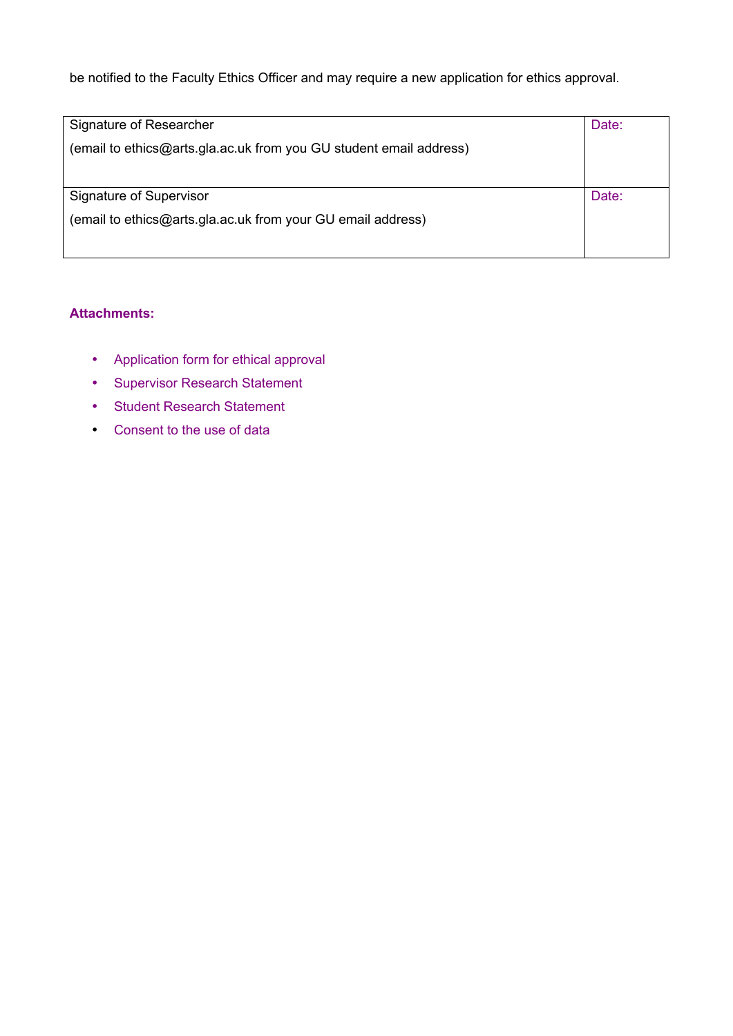be notified to the Faculty Ethics Officer and may require a new application for ethics approval.

| Signature of Researcher                                            | Date: |
|--------------------------------------------------------------------|-------|
| (email to ethics@arts.gla.ac.uk from you GU student email address) |       |
|                                                                    |       |
|                                                                    |       |
| Signature of Supervisor                                            | Date: |
| (email to ethics@arts.gla.ac.uk from your GU email address)        |       |
|                                                                    |       |
|                                                                    |       |

# **Attachments:**

- Application form for ethical approval
- Supervisor Research Statement
- Student Research Statement
- Consent to the use of data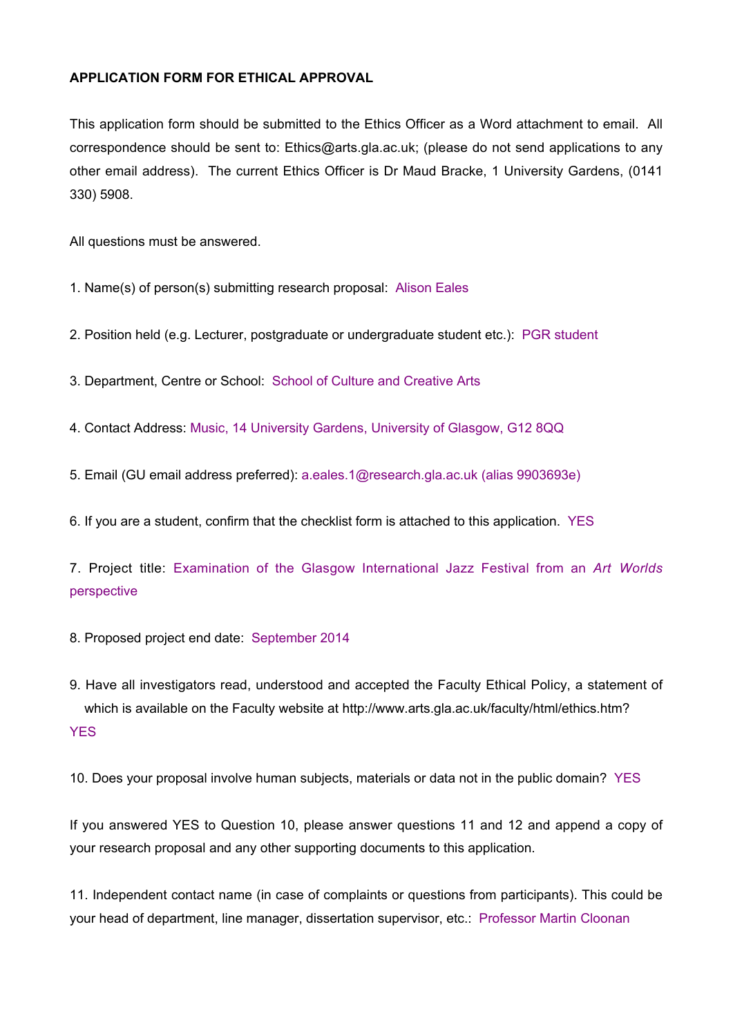## **APPLICATION FORM FOR ETHICAL APPROVAL**

This application form should be submitted to the Ethics Officer as a Word attachment to email. All correspondence should be sent to: Ethics@arts.gla.ac.uk; (please do not send applications to any other email address). The current Ethics Officer is Dr Maud Bracke, 1 University Gardens, (0141 330) 5908.

All questions must be answered.

1. Name(s) of person(s) submitting research proposal: Alison Eales

2. Position held (e.g. Lecturer, postgraduate or undergraduate student etc.): PGR student

3. Department, Centre or School: School of Culture and Creative Arts

4. Contact Address: Music, 14 University Gardens, University of Glasgow, G12 8QQ

5. Email (GU email address preferred): a.eales.1@research.gla.ac.uk (alias 9903693e)

6. If you are a student, confirm that the checklist form is attached to this application. YES

7. Project title: Examination of the Glasgow International Jazz Festival from an *Art Worlds* perspective

8. Proposed project end date: September 2014

9. Have all investigators read, understood and accepted the Faculty Ethical Policy, a statement of which is available on the Faculty website at http://www.arts.gla.ac.uk/faculty/html/ethics.htm? **YES** 

10. Does your proposal involve human subjects, materials or data not in the public domain? YES

If you answered YES to Question 10, please answer questions 11 and 12 and append a copy of your research proposal and any other supporting documents to this application.

11. Independent contact name (in case of complaints or questions from participants). This could be your head of department, line manager, dissertation supervisor, etc.: Professor Martin Cloonan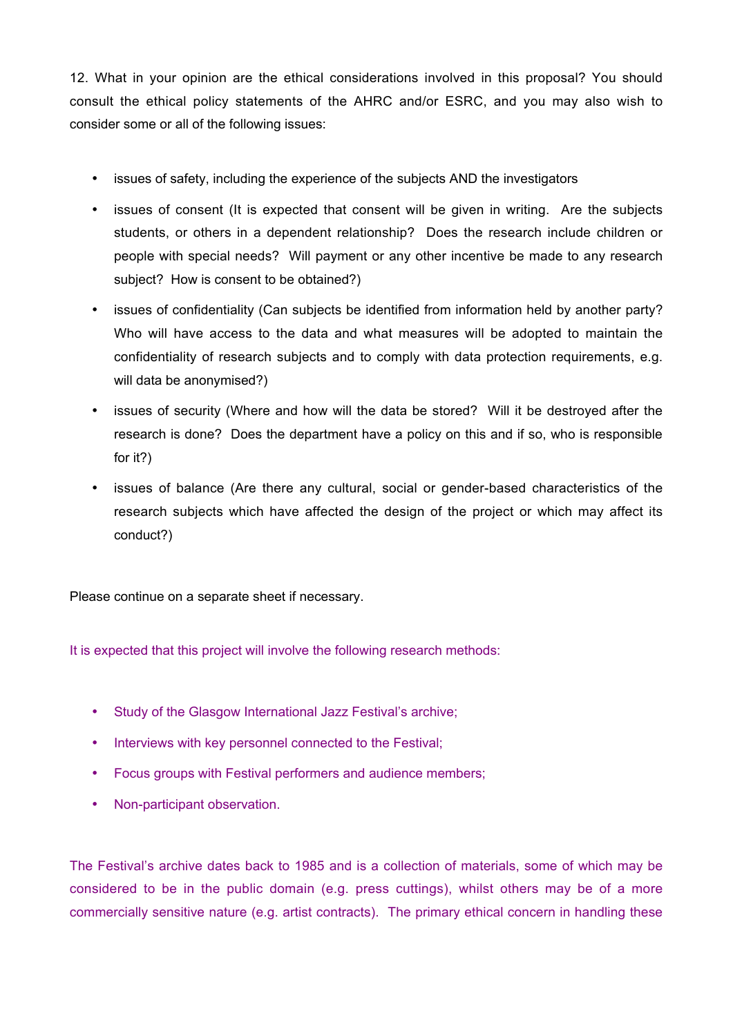12. What in your opinion are the ethical considerations involved in this proposal? You should consult the ethical policy statements of the AHRC and/or ESRC, and you may also wish to consider some or all of the following issues:

- issues of safety, including the experience of the subjects AND the investigators
- issues of consent (It is expected that consent will be given in writing. Are the subjects students, or others in a dependent relationship? Does the research include children or people with special needs? Will payment or any other incentive be made to any research subject? How is consent to be obtained?)
- issues of confidentiality (Can subjects be identified from information held by another party? Who will have access to the data and what measures will be adopted to maintain the confidentiality of research subjects and to comply with data protection requirements, e.g. will data be anonymised?)
- issues of security (Where and how will the data be stored? Will it be destroyed after the research is done? Does the department have a policy on this and if so, who is responsible for it?)
- issues of balance (Are there any cultural, social or gender-based characteristics of the research subjects which have affected the design of the project or which may affect its conduct?)

Please continue on a separate sheet if necessary.

It is expected that this project will involve the following research methods:

- Study of the Glasgow International Jazz Festival's archive;
- Interviews with key personnel connected to the Festival;
- Focus groups with Festival performers and audience members;
- Non-participant observation.

The Festival's archive dates back to 1985 and is a collection of materials, some of which may be considered to be in the public domain (e.g. press cuttings), whilst others may be of a more commercially sensitive nature (e.g. artist contracts). The primary ethical concern in handling these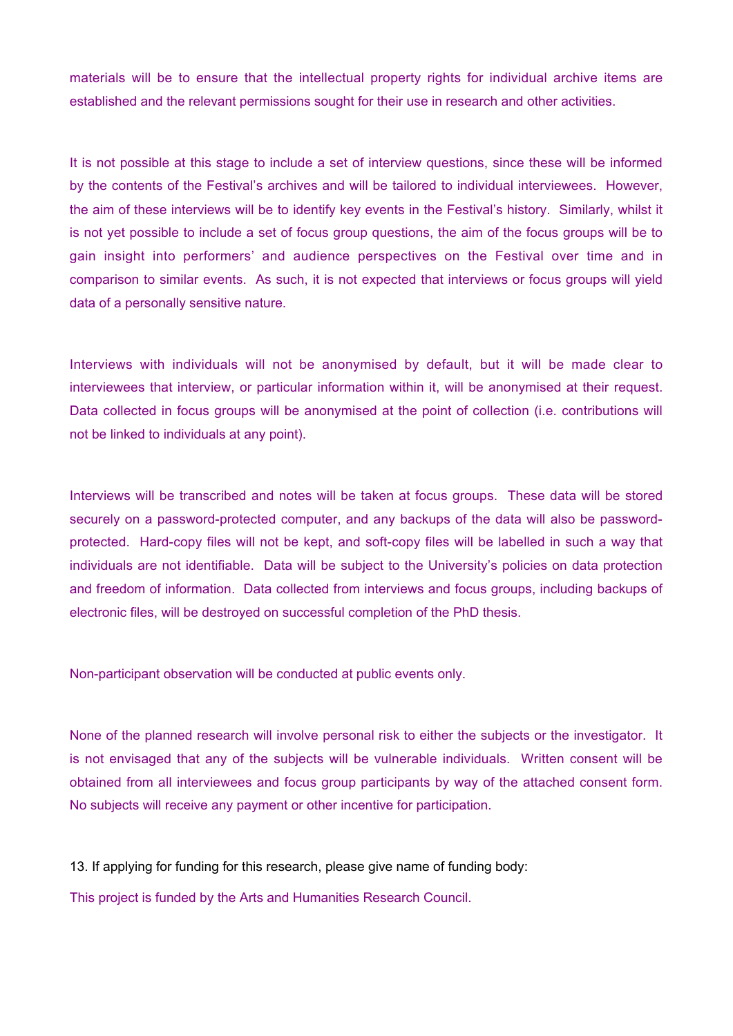materials will be to ensure that the intellectual property rights for individual archive items are established and the relevant permissions sought for their use in research and other activities.

It is not possible at this stage to include a set of interview questions, since these will be informed by the contents of the Festival's archives and will be tailored to individual interviewees. However, the aim of these interviews will be to identify key events in the Festival's history. Similarly, whilst it is not yet possible to include a set of focus group questions, the aim of the focus groups will be to gain insight into performers' and audience perspectives on the Festival over time and in comparison to similar events. As such, it is not expected that interviews or focus groups will yield data of a personally sensitive nature.

Interviews with individuals will not be anonymised by default, but it will be made clear to interviewees that interview, or particular information within it, will be anonymised at their request. Data collected in focus groups will be anonymised at the point of collection (i.e. contributions will not be linked to individuals at any point).

Interviews will be transcribed and notes will be taken at focus groups. These data will be stored securely on a password-protected computer, and any backups of the data will also be passwordprotected. Hard-copy files will not be kept, and soft-copy files will be labelled in such a way that individuals are not identifiable. Data will be subject to the University's policies on data protection and freedom of information. Data collected from interviews and focus groups, including backups of electronic files, will be destroyed on successful completion of the PhD thesis.

Non-participant observation will be conducted at public events only.

None of the planned research will involve personal risk to either the subjects or the investigator. It is not envisaged that any of the subjects will be vulnerable individuals. Written consent will be obtained from all interviewees and focus group participants by way of the attached consent form. No subjects will receive any payment or other incentive for participation.

13. If applying for funding for this research, please give name of funding body:

This project is funded by the Arts and Humanities Research Council.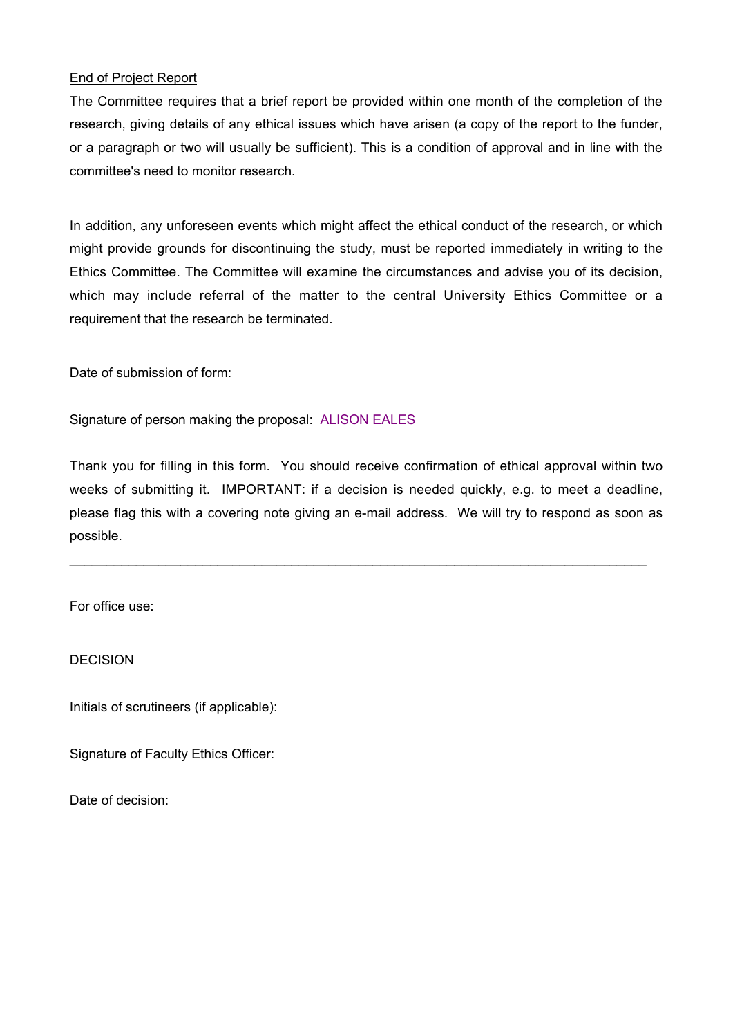# End of Project Report

The Committee requires that a brief report be provided within one month of the completion of the research, giving details of any ethical issues which have arisen (a copy of the report to the funder, or a paragraph or two will usually be sufficient). This is a condition of approval and in line with the committee's need to monitor research.

In addition, any unforeseen events which might affect the ethical conduct of the research, or which might provide grounds for discontinuing the study, must be reported immediately in writing to the Ethics Committee. The Committee will examine the circumstances and advise you of its decision, which may include referral of the matter to the central University Ethics Committee or a requirement that the research be terminated.

Date of submission of form:

Signature of person making the proposal: ALISON EALES

Thank you for filling in this form. You should receive confirmation of ethical approval within two weeks of submitting it. IMPORTANT: if a decision is needed quickly, e.g. to meet a deadline, please flag this with a covering note giving an e-mail address. We will try to respond as soon as possible.

\_\_\_\_\_\_\_\_\_\_\_\_\_\_\_\_\_\_\_\_\_\_\_\_\_\_\_\_\_\_\_\_\_\_\_\_\_\_\_\_\_\_\_\_\_\_\_\_\_\_\_\_\_\_\_\_\_\_\_\_\_\_\_\_\_\_\_\_\_\_\_\_\_\_\_\_\_\_

For office use:

DECISION

Initials of scrutineers (if applicable):

Signature of Faculty Ethics Officer:

Date of decision: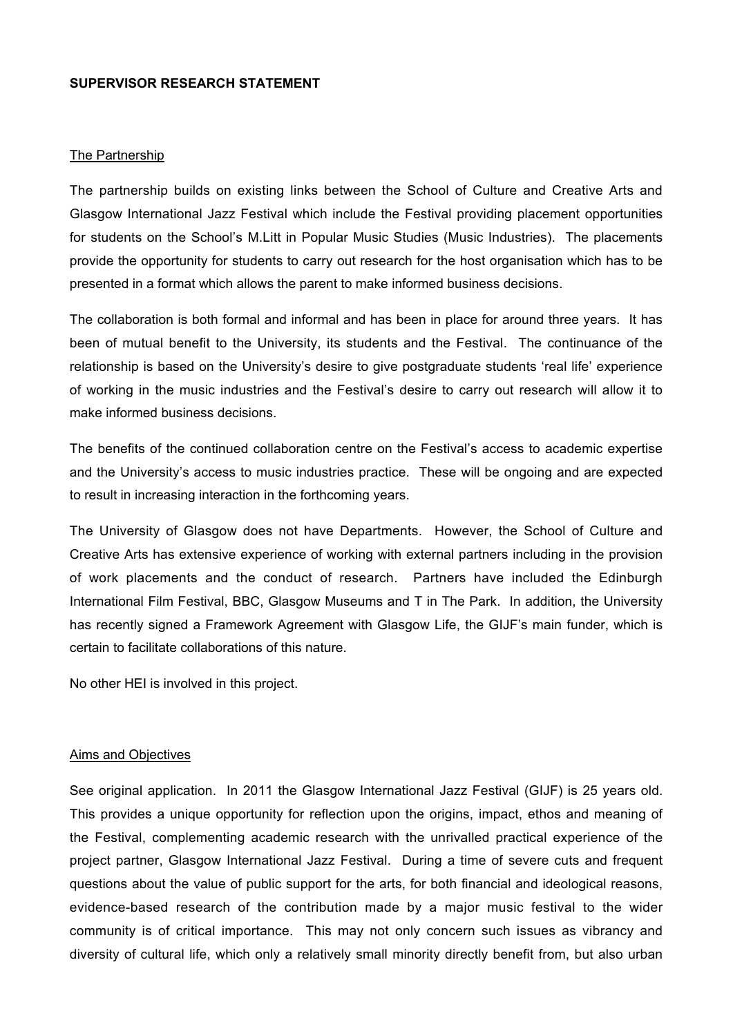#### **SUPERVISOR RESEARCH STATEMENT**

#### The Partnership

The partnership builds on existing links between the School of Culture and Creative Arts and Glasgow International Jazz Festival which include the Festival providing placement opportunities for students on the School's M.Litt in Popular Music Studies (Music Industries). The placements provide the opportunity for students to carry out research for the host organisation which has to be presented in a format which allows the parent to make informed business decisions.

The collaboration is both formal and informal and has been in place for around three years. It has been of mutual benefit to the University, its students and the Festival. The continuance of the relationship is based on the University's desire to give postgraduate students 'real life' experience of working in the music industries and the Festival's desire to carry out research will allow it to make informed business decisions.

The benefits of the continued collaboration centre on the Festival's access to academic expertise and the University's access to music industries practice. These will be ongoing and are expected to result in increasing interaction in the forthcoming years.

The University of Glasgow does not have Departments. However, the School of Culture and Creative Arts has extensive experience of working with external partners including in the provision of work placements and the conduct of research. Partners have included the Edinburgh International Film Festival, BBC, Glasgow Museums and T in The Park. In addition, the University has recently signed a Framework Agreement with Glasgow Life, the GIJF's main funder, which is certain to facilitate collaborations of this nature.

No other HEI is involved in this project.

#### Aims and Objectives

See original application. In 2011 the Glasgow International Jazz Festival (GIJF) is 25 years old. This provides a unique opportunity for reflection upon the origins, impact, ethos and meaning of the Festival, complementing academic research with the unrivalled practical experience of the project partner, Glasgow International Jazz Festival. During a time of severe cuts and frequent questions about the value of public support for the arts, for both financial and ideological reasons, evidence-based research of the contribution made by a major music festival to the wider community is of critical importance. This may not only concern such issues as vibrancy and diversity of cultural life, which only a relatively small minority directly benefit from, but also urban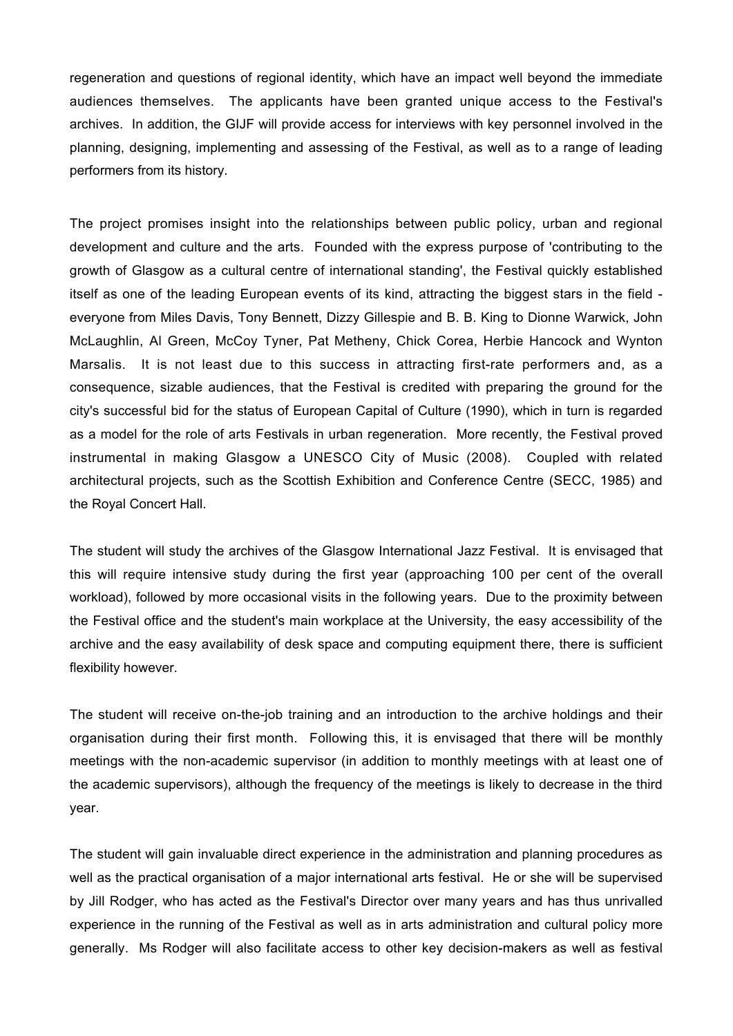regeneration and questions of regional identity, which have an impact well beyond the immediate audiences themselves. The applicants have been granted unique access to the Festival's archives. In addition, the GIJF will provide access for interviews with key personnel involved in the planning, designing, implementing and assessing of the Festival, as well as to a range of leading performers from its history.

The project promises insight into the relationships between public policy, urban and regional development and culture and the arts. Founded with the express purpose of 'contributing to the growth of Glasgow as a cultural centre of international standing', the Festival quickly established itself as one of the leading European events of its kind, attracting the biggest stars in the field everyone from Miles Davis, Tony Bennett, Dizzy Gillespie and B. B. King to Dionne Warwick, John McLaughlin, Al Green, McCoy Tyner, Pat Metheny, Chick Corea, Herbie Hancock and Wynton Marsalis. It is not least due to this success in attracting first-rate performers and, as a consequence, sizable audiences, that the Festival is credited with preparing the ground for the city's successful bid for the status of European Capital of Culture (1990), which in turn is regarded as a model for the role of arts Festivals in urban regeneration. More recently, the Festival proved instrumental in making Glasgow a UNESCO City of Music (2008). Coupled with related architectural projects, such as the Scottish Exhibition and Conference Centre (SECC, 1985) and the Royal Concert Hall.

The student will study the archives of the Glasgow International Jazz Festival. It is envisaged that this will require intensive study during the first year (approaching 100 per cent of the overall workload), followed by more occasional visits in the following years. Due to the proximity between the Festival office and the student's main workplace at the University, the easy accessibility of the archive and the easy availability of desk space and computing equipment there, there is sufficient flexibility however.

The student will receive on-the-job training and an introduction to the archive holdings and their organisation during their first month. Following this, it is envisaged that there will be monthly meetings with the non-academic supervisor (in addition to monthly meetings with at least one of the academic supervisors), although the frequency of the meetings is likely to decrease in the third year.

The student will gain invaluable direct experience in the administration and planning procedures as well as the practical organisation of a major international arts festival. He or she will be supervised by Jill Rodger, who has acted as the Festival's Director over many years and has thus unrivalled experience in the running of the Festival as well as in arts administration and cultural policy more generally. Ms Rodger will also facilitate access to other key decision-makers as well as festival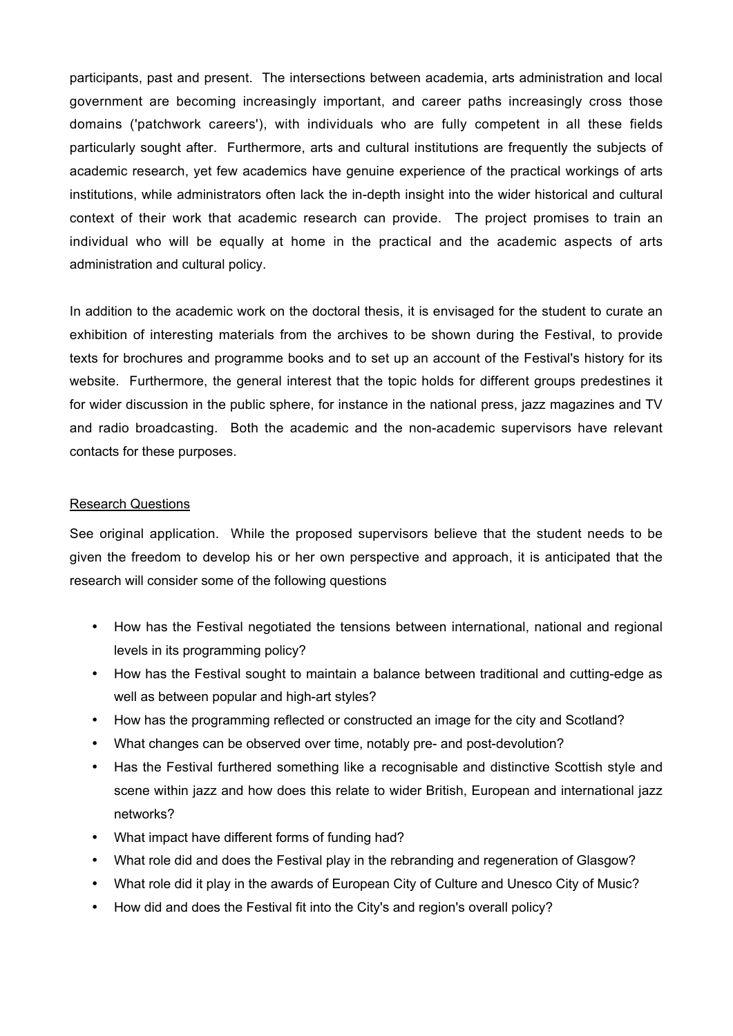participants, past and present. The intersections between academia, arts administration and local government are becoming increasingly important, and career paths increasingly cross those domains ('patchwork careers'), with individuals who are fully competent in all these fields particularly sought after. Furthermore, arts and cultural institutions are frequently the subjects of academic research, yet few academics have genuine experience of the practical workings of arts institutions, while administrators often lack the in-depth insight into the wider historical and cultural context of their work that academic research can provide. The project promises to train an individual who will be equally at home in the practical and the academic aspects of arts administration and cultural policy.

In addition to the academic work on the doctoral thesis, it is envisaged for the student to curate an exhibition of interesting materials from the archives to be shown during the Festival, to provide texts for brochures and programme books and to set up an account of the Festival's history for its website. Furthermore, the general interest that the topic holds for different groups predestines it for wider discussion in the public sphere, for instance in the national press, jazz magazines and TV and radio broadcasting. Both the academic and the non-academic supervisors have relevant contacts for these purposes.

### Research Questions

See original application. While the proposed supervisors believe that the student needs to be given the freedom to develop his or her own perspective and approach, it is anticipated that the research will consider some of the following questions

- How has the Festival negotiated the tensions between international, national and regional levels in its programming policy?
- How has the Festival sought to maintain a balance between traditional and cutting-edge as well as between popular and high-art styles?
- How has the programming reflected or constructed an image for the city and Scotland?
- What changes can be observed over time, notably pre- and post-devolution?
- Has the Festival furthered something like a recognisable and distinctive Scottish style and scene within jazz and how does this relate to wider British, European and international jazz networks?
- What impact have different forms of funding had?
- What role did and does the Festival play in the rebranding and regeneration of Glasgow?
- What role did it play in the awards of European City of Culture and Unesco City of Music?
- How did and does the Festival fit into the City's and region's overall policy?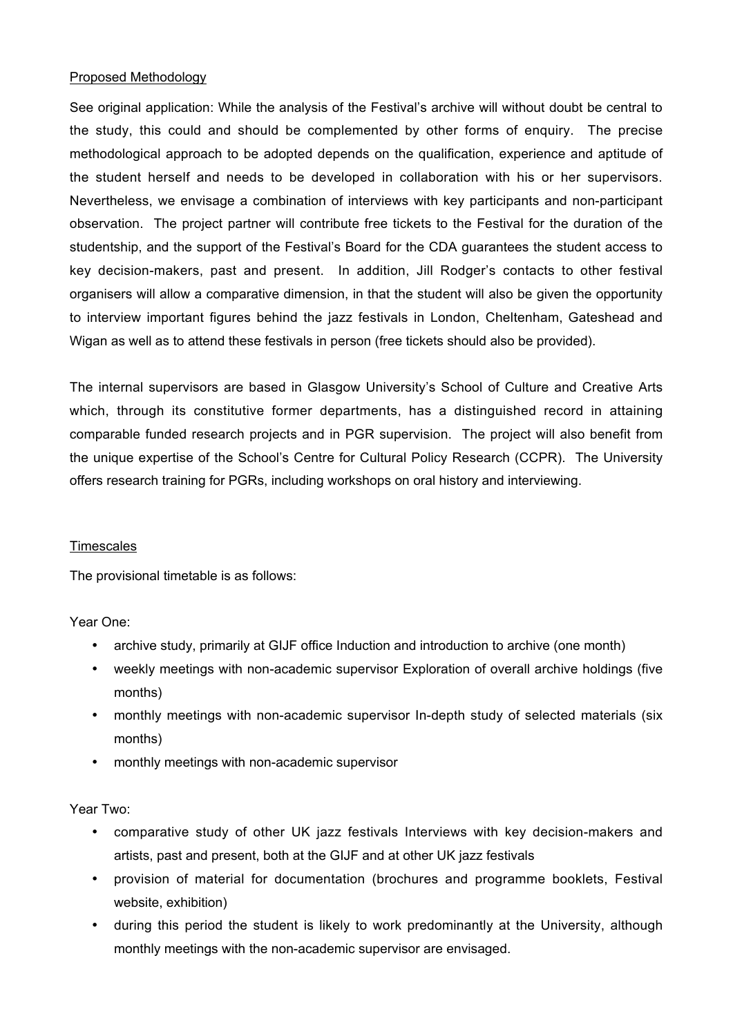### Proposed Methodology

See original application: While the analysis of the Festival's archive will without doubt be central to the study, this could and should be complemented by other forms of enquiry. The precise methodological approach to be adopted depends on the qualification, experience and aptitude of the student herself and needs to be developed in collaboration with his or her supervisors. Nevertheless, we envisage a combination of interviews with key participants and non-participant observation. The project partner will contribute free tickets to the Festival for the duration of the studentship, and the support of the Festival's Board for the CDA guarantees the student access to key decision-makers, past and present. In addition, Jill Rodger's contacts to other festival organisers will allow a comparative dimension, in that the student will also be given the opportunity to interview important figures behind the jazz festivals in London, Cheltenham, Gateshead and Wigan as well as to attend these festivals in person (free tickets should also be provided).

The internal supervisors are based in Glasgow University's School of Culture and Creative Arts which, through its constitutive former departments, has a distinguished record in attaining comparable funded research projects and in PGR supervision. The project will also benefit from the unique expertise of the School's Centre for Cultural Policy Research (CCPR). The University offers research training for PGRs, including workshops on oral history and interviewing.

## **Timescales**

The provisional timetable is as follows:

#### Year One:

- archive study, primarily at GIJF office Induction and introduction to archive (one month)
- weekly meetings with non-academic supervisor Exploration of overall archive holdings (five months)
- monthly meetings with non-academic supervisor In-depth study of selected materials (six months)
- monthly meetings with non-academic supervisor

#### Year Two:

- comparative study of other UK jazz festivals Interviews with key decision-makers and artists, past and present, both at the GIJF and at other UK jazz festivals
- provision of material for documentation (brochures and programme booklets, Festival website, exhibition)
- during this period the student is likely to work predominantly at the University, although monthly meetings with the non-academic supervisor are envisaged.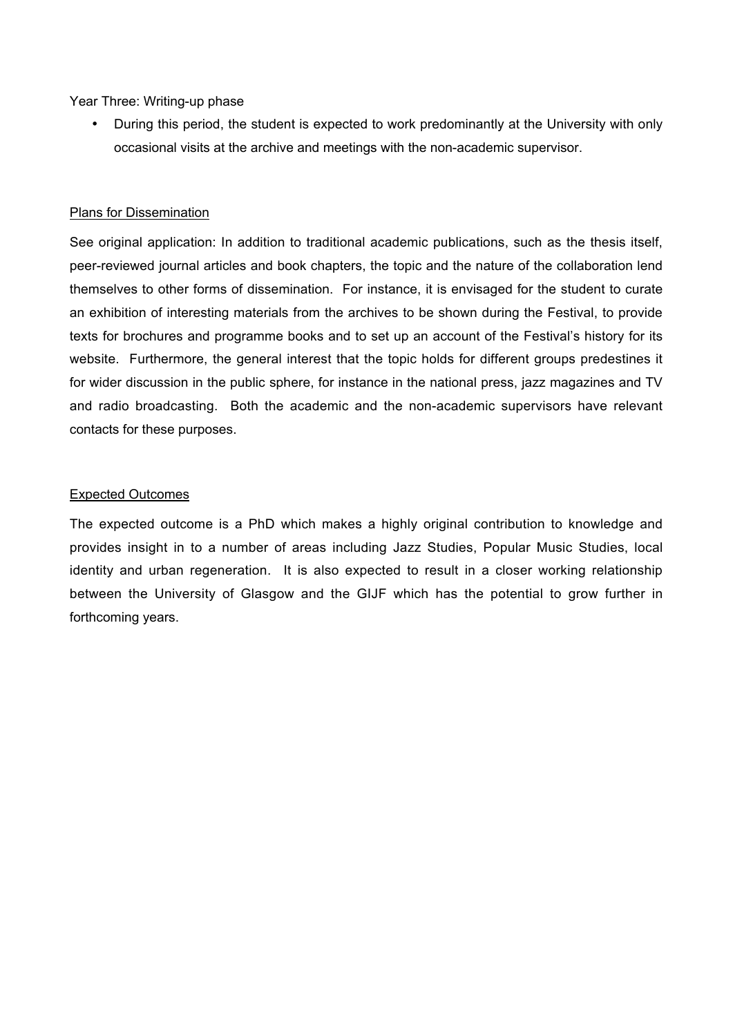Year Three: Writing-up phase

• During this period, the student is expected to work predominantly at the University with only occasional visits at the archive and meetings with the non-academic supervisor.

### Plans for Dissemination

See original application: In addition to traditional academic publications, such as the thesis itself, peer-reviewed journal articles and book chapters, the topic and the nature of the collaboration lend themselves to other forms of dissemination. For instance, it is envisaged for the student to curate an exhibition of interesting materials from the archives to be shown during the Festival, to provide texts for brochures and programme books and to set up an account of the Festival's history for its website. Furthermore, the general interest that the topic holds for different groups predestines it for wider discussion in the public sphere, for instance in the national press, jazz magazines and TV and radio broadcasting. Both the academic and the non-academic supervisors have relevant contacts for these purposes.

## Expected Outcomes

The expected outcome is a PhD which makes a highly original contribution to knowledge and provides insight in to a number of areas including Jazz Studies, Popular Music Studies, local identity and urban regeneration. It is also expected to result in a closer working relationship between the University of Glasgow and the GIJF which has the potential to grow further in forthcoming years.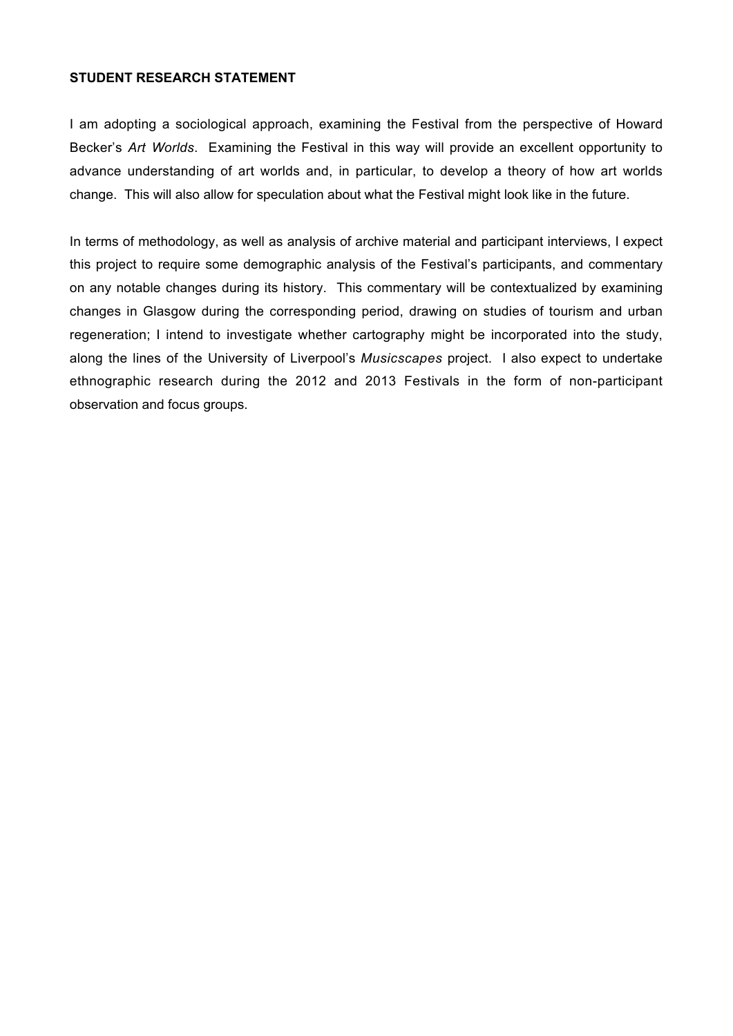### **STUDENT RESEARCH STATEMENT**

I am adopting a sociological approach, examining the Festival from the perspective of Howard Becker's *Art Worlds*. Examining the Festival in this way will provide an excellent opportunity to advance understanding of art worlds and, in particular, to develop a theory of how art worlds change. This will also allow for speculation about what the Festival might look like in the future.

In terms of methodology, as well as analysis of archive material and participant interviews, I expect this project to require some demographic analysis of the Festival's participants, and commentary on any notable changes during its history. This commentary will be contextualized by examining changes in Glasgow during the corresponding period, drawing on studies of tourism and urban regeneration; I intend to investigate whether cartography might be incorporated into the study, along the lines of the University of Liverpool's *Musicscapes* project. I also expect to undertake ethnographic research during the 2012 and 2013 Festivals in the form of non-participant observation and focus groups.